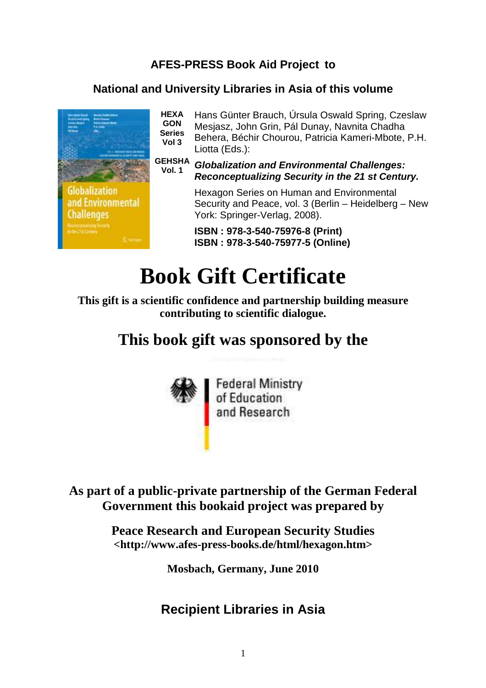### **AFES-PRESS Book Aid Project to**

#### **National and University Libraries in Asia of this volume**



**HEXA GON Series Vol 3**  Hans Günter Brauch, Úrsula Oswald Spring, Czeslaw Mesjasz, John Grin, Pál Dunay, Navnita Chadha Behera, Béchir Chourou, Patricia Kameri-Mbote, P.H. Liotta (Eds.):

**GEHSHA Vol. 1 Globalization and Environmental Challenges: Reconceptualizing Security in the 21 st Century.** 

> Hexagon Series on Human and Environmental Security and Peace, vol. 3 (Berlin – Heidelberg – New York: Springer-Verlag, 2008).

**ISBN : 978-3-540-75976-8 (Print) ISBN : 978-3-540-75977-5 (Online)** 

# **Book Gift Certificate**

**This gift is a scientific confidence and partnership building measure contributing to scientific dialogue.** 

# **This book gift was sponsored by the**



Federal Ministry<br>of Education<br>and Research

**As part of a public-private partnership of the German Federal Government this bookaid project was prepared by** 

> **Peace Research and European Security Studies <http://www.afes-press-books.de/html/hexagon.htm>**

> > **Mosbach, Germany, June 2010**

## **Recipient Libraries in Asia**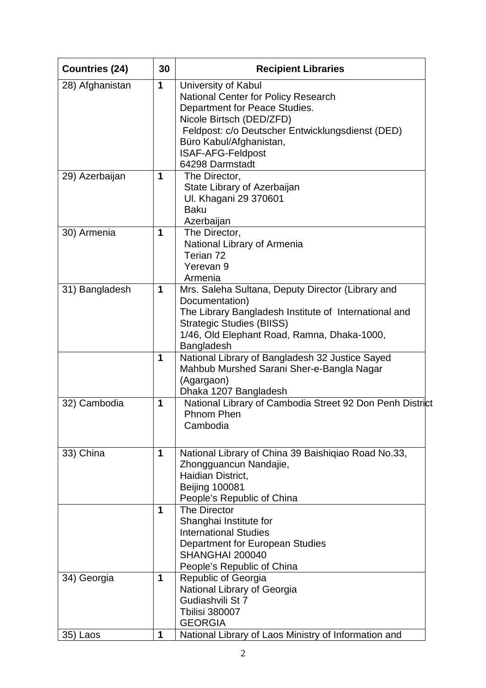| <b>Countries (24)</b> | 30 | <b>Recipient Libraries</b>                                                                                                                                                                                                    |
|-----------------------|----|-------------------------------------------------------------------------------------------------------------------------------------------------------------------------------------------------------------------------------|
| 28) Afghanistan       | 1  | University of Kabul<br>National Center for Policy Research<br>Department for Peace Studies.<br>Nicole Birtsch (DED/ZFD)<br>Feldpost: c/o Deutscher Entwicklungsdienst (DED)<br>Büro Kabul/Afghanistan,                        |
|                       |    | <b>ISAF-AFG-Feldpost</b><br>64298 Darmstadt                                                                                                                                                                                   |
| 29) Azerbaijan        | 1  | The Director,<br>State Library of Azerbaijan<br>Ul. Khagani 29 370601<br><b>Baku</b><br>Azerbaijan                                                                                                                            |
| 30) Armenia           | 1  | The Director,<br>National Library of Armenia<br>Terian 72<br>Yerevan 9<br>Armenia                                                                                                                                             |
| 31) Bangladesh        | 1  | Mrs. Saleha Sultana, Deputy Director (Library and<br>Documentation)<br>The Library Bangladesh Institute of International and<br><b>Strategic Studies (BIISS)</b><br>1/46, Old Elephant Road, Ramna, Dhaka-1000,<br>Bangladesh |
|                       | 1  | National Library of Bangladesh 32 Justice Sayed<br>Mahbub Murshed Sarani Sher-e-Bangla Nagar<br>(Agargaon)<br>Dhaka 1207 Bangladesh                                                                                           |
| 32) Cambodia          | 1  | National Library of Cambodia Street 92 Don Penh District<br>Phnom Phen<br>Cambodia                                                                                                                                            |
| 33) China             | 1  | National Library of China 39 Baishiqiao Road No.33,<br>Zhongguancun Nandajie,<br>Haidian District,<br><b>Beijing 100081</b><br>People's Republic of China                                                                     |
|                       | 1  | The Director<br>Shanghai Institute for<br><b>International Studies</b><br>Department for European Studies<br>SHANGHAI 200040<br>People's Republic of China                                                                    |
| 34) Georgia           | 1  | Republic of Georgia<br>National Library of Georgia<br>Gudiashvili St 7<br><b>Tbilisi 380007</b><br><b>GEORGIA</b>                                                                                                             |
| 35) Laos              | 1  | National Library of Laos Ministry of Information and                                                                                                                                                                          |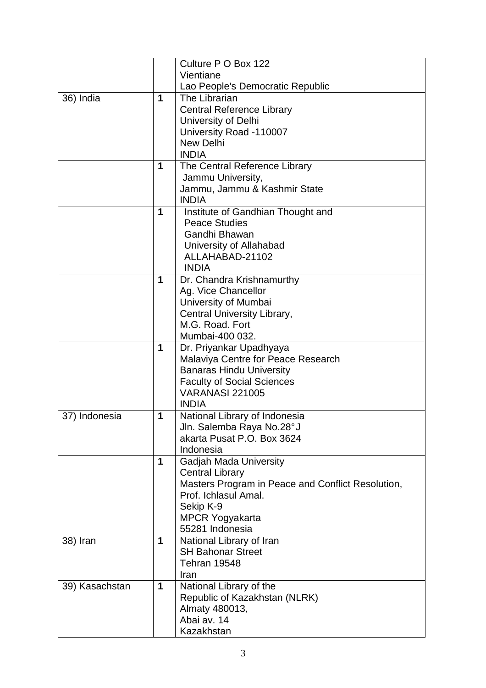|                |   | Culture P O Box 122                               |
|----------------|---|---------------------------------------------------|
|                |   | Vientiane                                         |
|                |   | Lao People's Democratic Republic                  |
| 36) India      | 1 | The Librarian                                     |
|                |   | <b>Central Reference Library</b>                  |
|                |   | University of Delhi                               |
|                |   | University Road -110007                           |
|                |   | <b>New Delhi</b>                                  |
|                |   | <b>INDIA</b>                                      |
|                | 1 | The Central Reference Library                     |
|                |   | Jammu University,                                 |
|                |   | Jammu, Jammu & Kashmir State                      |
|                |   | <b>INDIA</b>                                      |
|                | 1 | Institute of Gandhian Thought and                 |
|                |   | <b>Peace Studies</b>                              |
|                |   | Gandhi Bhawan                                     |
|                |   | University of Allahabad                           |
|                |   | ALLAHABAD-21102                                   |
|                |   | <b>INDIA</b>                                      |
|                | 1 | Dr. Chandra Krishnamurthy                         |
|                |   | Ag. Vice Chancellor                               |
|                |   | University of Mumbai                              |
|                |   | Central University Library,                       |
|                |   | M.G. Road. Fort                                   |
|                |   | Mumbai-400 032.                                   |
|                | 1 | Dr. Priyankar Upadhyaya                           |
|                |   | Malaviya Centre for Peace Research                |
|                |   | <b>Banaras Hindu University</b>                   |
|                |   | <b>Faculty of Social Sciences</b>                 |
|                |   | <b>VARANASI 221005</b>                            |
|                |   | <b>INDIA</b>                                      |
| 37) Indonesia  | 1 | National Library of Indonesia                     |
|                |   | Jln. Salemba Raya No.28°J                         |
|                |   | akarta Pusat P.O. Box 3624                        |
|                |   | Indonesia                                         |
|                | 1 | <b>Gadjah Mada University</b>                     |
|                |   | <b>Central Library</b>                            |
|                |   | Masters Program in Peace and Conflict Resolution, |
|                |   | Prof. Ichlasul Amal.                              |
|                |   | Sekip K-9                                         |
|                |   | <b>MPCR Yogyakarta</b>                            |
|                |   | 55281 Indonesia                                   |
| 38) Iran       | 1 | National Library of Iran                          |
|                |   | <b>SH Bahonar Street</b>                          |
|                |   | Tehran 19548                                      |
|                |   | Iran                                              |
| 39) Kasachstan | 1 | National Library of the                           |
|                |   | Republic of Kazakhstan (NLRK)                     |
|                |   | Almaty 480013,                                    |
|                |   | Abai av. 14                                       |
|                |   | Kazakhstan                                        |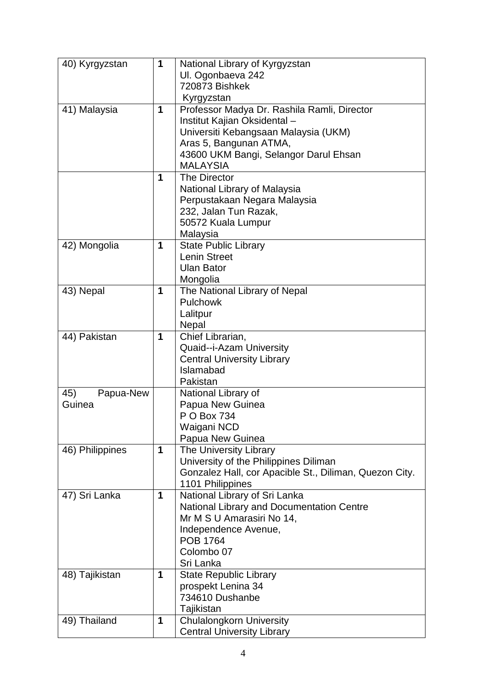| 40) Kyrgyzstan   | 1 | National Library of Kyrgyzstan                         |
|------------------|---|--------------------------------------------------------|
|                  |   | UI. Ogonbaeva 242                                      |
|                  |   | 720873 Bishkek                                         |
|                  |   | Kyrgyzstan                                             |
| 41) Malaysia     | 1 | Professor Madya Dr. Rashila Ramli, Director            |
|                  |   | Institut Kajian Oksidental -                           |
|                  |   | Universiti Kebangsaan Malaysia (UKM)                   |
|                  |   | Aras 5, Bangunan ATMA,                                 |
|                  |   | 43600 UKM Bangi, Selangor Darul Ehsan                  |
|                  |   | <b>MALAYSIA</b>                                        |
|                  | 1 | The Director                                           |
|                  |   | National Library of Malaysia                           |
|                  |   | Perpustakaan Negara Malaysia                           |
|                  |   | 232, Jalan Tun Razak,                                  |
|                  |   | 50572 Kuala Lumpur                                     |
|                  |   | Malaysia                                               |
| 42) Mongolia     | 1 | <b>State Public Library</b>                            |
|                  |   | <b>Lenin Street</b>                                    |
|                  |   | <b>Ulan Bator</b>                                      |
|                  |   | Mongolia                                               |
| 43) Nepal        | 1 | The National Library of Nepal                          |
|                  |   | Pulchowk                                               |
|                  |   | Lalitpur                                               |
|                  |   | Nepal                                                  |
| 44) Pakistan     | 1 | Chief Librarian,                                       |
|                  |   | Quaid--i-Azam University                               |
|                  |   | <b>Central University Library</b>                      |
|                  |   | Islamabad                                              |
|                  |   | Pakistan                                               |
| Papua-New<br>45) |   | National Library of                                    |
| Guinea           |   | Papua New Guinea                                       |
|                  |   | P O Box 734                                            |
|                  |   | Waigani NCD                                            |
|                  |   | Papua New Guinea                                       |
| 46) Philippines  | 1 | The University Library                                 |
|                  |   | University of the Philippines Diliman                  |
|                  |   | Gonzalez Hall, cor Apacible St., Diliman, Quezon City. |
|                  |   | 1101 Philippines                                       |
| 47) Sri Lanka    | 1 | National Library of Sri Lanka                          |
|                  |   | National Library and Documentation Centre              |
|                  |   | Mr M S U Amarasiri No 14,                              |
|                  |   | Independence Avenue,                                   |
|                  |   | <b>POB 1764</b>                                        |
|                  |   | Colombo 07                                             |
|                  |   | Sri Lanka                                              |
| 48) Tajikistan   | 1 | <b>State Republic Library</b>                          |
|                  |   | prospekt Lenina 34                                     |
|                  |   | 734610 Dushanbe                                        |
|                  |   | Tajikistan                                             |
| 49) Thailand     | 1 | <b>Chulalongkorn University</b>                        |
|                  |   | <b>Central University Library</b>                      |